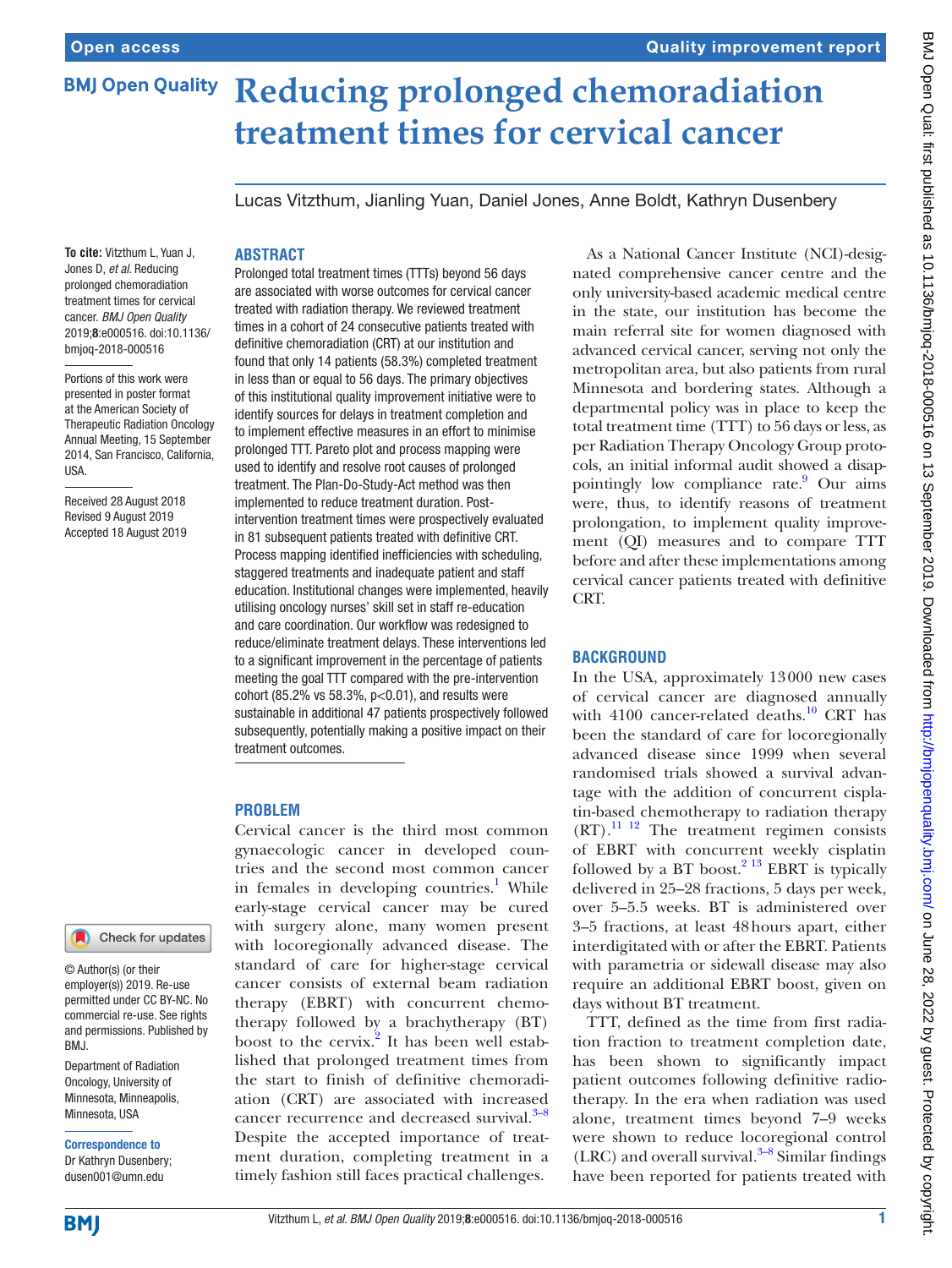# **BMJ Open Quality Reducing prolonged chemoradiation treatment times for cervical cancer**

Lucas Vitzthum, Jianling Yuan, Daniel Jones, Anne Boldt, Kathryn Dusenbery

# **Abstract**

**To cite:** Vitzthum L, Yuan J, Jones D, *et al*. Reducing prolonged chemoradiation treatment times for cervical cancer. *BMJ Open Quality* 2019;8:e000516. doi:10.1136/ bmjoq-2018-000516

Portions of this work were presented in poster format at the American Society of Therapeutic Radiation Oncology Annual Meeting, 15 September 2014, San Francisco, California, USA.

Received 28 August 2018 Revised 9 August 2019 Accepted 18 August 2019

#### Check for updates

© Author(s) (or their employer(s)) 2019. Re-use permitted under CC BY-NC. No commercial re-use. See rights and permissions. Published by RM<sub>J</sub>

Department of Radiation Oncology, University of Minnesota, Minneapolis, Minnesota, USA

Correspondence to Dr Kathryn Dusenbery; dusen001@umn.edu

Prolonged total treatment times (TTTs) beyond 56 days are associated with worse outcomes for cervical cancer treated with radiation therapy. We reviewed treatment times in a cohort of 24 consecutive patients treated with definitive chemoradiation (CRT) at our institution and found that only 14 patients (58.3%) completed treatment in less than or equal to 56 days. The primary objectives of this institutional quality improvement initiative were to identify sources for delays in treatment completion and to implement effective measures in an effort to minimise prolonged TTT. Pareto plot and process mapping were used to identify and resolve root causes of prolonged treatment. The Plan-Do-Study-Act method was then implemented to reduce treatment duration. Postintervention treatment times were prospectively evaluated in 81 subsequent patients treated with definitive CRT. Process mapping identified inefficiencies with scheduling, staggered treatments and inadequate patient and staff education. Institutional changes were implemented, heavily utilising oncology nurses' skill set in staff re-education and care coordination. Our workflow was redesigned to reduce/eliminate treatment delays. These interventions led to a significant improvement in the percentage of patients meeting the goal TTT compared with the pre-intervention cohort (85.2% vs 58.3%,  $p<0.01$ ), and results were sustainable in additional 47 patients prospectively followed subsequently, potentially making a positive impact on their treatment outcomes.

#### **Problem**

Cervical cancer is the third most common gynaecologic cancer in developed countries and the second most common cancer in females in developing countries.<sup>1</sup> While early-stage cervical cancer may be cured with surgery alone, many women present with locoregionally advanced disease. The standard of care for higher-stage cervical cancer consists of external beam radiation therapy (EBRT) with concurrent chemotherapy followed by a brachytherapy (BT) boost to the cervix.<sup>[2](#page-5-1)</sup> It has been well established that prolonged treatment times from the start to finish of definitive chemoradiation (CRT) are associated with increased cancer recurrence and decreased survival. $3-8$ Despite the accepted importance of treatment duration, completing treatment in a timely fashion still faces practical challenges.

As a National Cancer Institute (NCI)-designated comprehensive cancer centre and the only university-based academic medical centre in the state, our institution has become the main referral site for women diagnosed with advanced cervical cancer, serving not only the metropolitan area, but also patients from rural Minnesota and bordering states. Although a departmental policy was in place to keep the total treatment time (TTT) to 56 days or less, as per Radiation Therapy Oncology Group protocols, an initial informal audit showed a disappointingly low compliance rate.<sup>9</sup> Our aims were, thus, to identify reasons of treatment prolongation, to implement quality improvement (QI) measures and to compare TTT before and after these implementations among cervical cancer patients treated with definitive CRT.

#### **Background**

In the USA, approximately 13000 new cases of cervical cancer are diagnosed annually with 4100 cancer-related deaths.<sup>10</sup> CRT has been the standard of care for locoregionally advanced disease since 1999 when several randomised trials showed a survival advantage with the addition of concurrent cisplatin-based chemotherapy to radiation therapy  $(RT)$ .<sup>[11 12](#page-5-5)</sup> The treatment regimen consists of EBRT with concurrent weekly cisplatin followed by a BT boost. $2^{13}$  EBRT is typically delivered in 25–28 fractions, 5 days per week, over 5–5.5 weeks. BT is administered over 3–5 fractions, at least 48hours apart, either interdigitated with or after the EBRT. Patients with parametria or sidewall disease may also require an additional EBRT boost, given on days without BT treatment.

TTT, defined as the time from first radiation fraction to treatment completion date, has been shown to significantly impact patient outcomes following definitive radiotherapy. In the era when radiation was used alone, treatment times beyond 7–9 weeks were shown to reduce locoregional control (LRC) and overall survival. $3-8$  Similar findings have been reported for patients treated with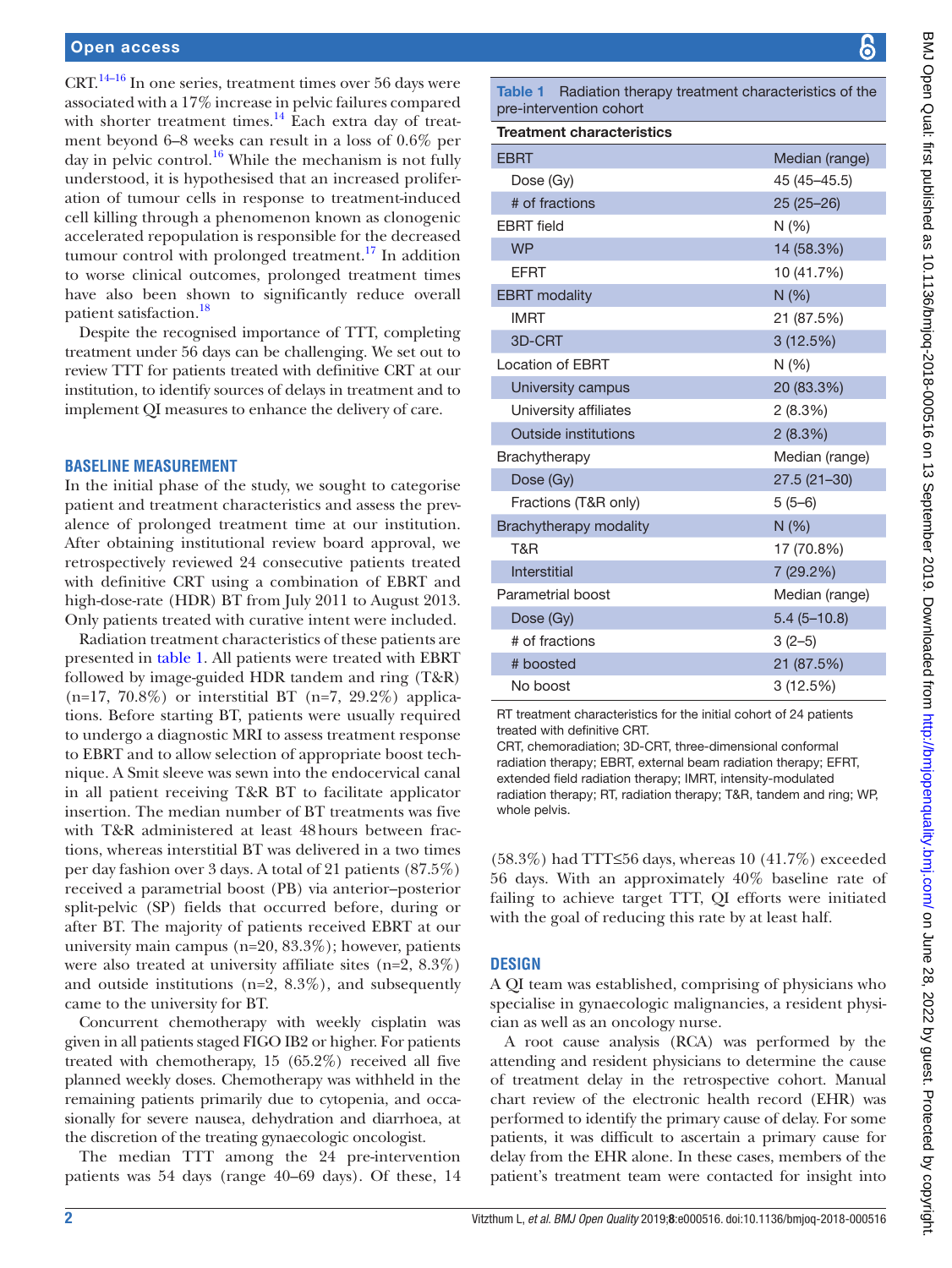$CRT<sup>14–16</sup>$  In one series, treatment times over 56 days were associated with a 17% increase in pelvic failures compared with shorter treatment times.<sup>14</sup> Each extra day of treatment beyond 6–8 weeks can result in a loss of 0.6% per day in pelvic control.<sup>16</sup> While the mechanism is not fully understood, it is hypothesised that an increased proliferation of tumour cells in response to treatment-induced cell killing through a phenomenon known as clonogenic accelerated repopulation is responsible for the decreased tumour control with prolonged treatment.<sup>[17](#page-5-8)</sup> In addition to worse clinical outcomes, prolonged treatment times have also been shown to significantly reduce overall patient satisfaction.<sup>[18](#page-5-9)</sup>

Despite the recognised importance of TTT, completing treatment under 56 days can be challenging. We set out to review TTT for patients treated with definitive CRT at our institution, to identify sources of delays in treatment and to implement QI measures to enhance the delivery of care.

#### **Baseline measurement**

In the initial phase of the study, we sought to categorise patient and treatment characteristics and assess the prevalence of prolonged treatment time at our institution. After obtaining institutional review board approval, we retrospectively reviewed 24 consecutive patients treated with definitive CRT using a combination of EBRT and high-dose-rate (HDR) BT from July 2011 to August 2013. Only patients treated with curative intent were included.

Radiation treatment characteristics of these patients are presented in [table](#page-1-0) 1. All patients were treated with EBRT followed by image-guided HDR tandem and ring (T&R)  $(n=17, 70.8\%)$  or interstitial BT  $(n=7, 29.2\%)$  applications. Before starting BT, patients were usually required to undergo a diagnostic MRI to assess treatment response to EBRT and to allow selection of appropriate boost technique. A Smit sleeve was sewn into the endocervical canal in all patient receiving T&R BT to facilitate applicator insertion. The median number of BT treatments was five with T&R administered at least 48hours between fractions, whereas interstitial BT was delivered in a two times per day fashion over 3 days. A total of 21 patients (87.5%) received a parametrial boost (PB) via anterior–posterior split-pelvic (SP) fields that occurred before, during or after BT. The majority of patients received EBRT at our university main campus (n=20, 83.3%); however, patients were also treated at university affiliate sites (n=2, 8.3%) and outside institutions (n=2, 8.3%), and subsequently came to the university for BT.

Concurrent chemotherapy with weekly cisplatin was given in all patients staged FIGO IB2 or higher. For patients treated with chemotherapy, 15 (65.2%) received all five planned weekly doses. Chemotherapy was withheld in the remaining patients primarily due to cytopenia, and occasionally for severe nausea, dehydration and diarrhoea, at the discretion of the treating gynaecologic oncologist.

The median TTT among the 24 pre-intervention patients was 54 days (range 40–69 days). Of these, 14 <span id="page-1-0"></span>Table 1 Radiation therapy treatment characteristics of the pre-intervention cohort

Treatment characteristics

| <b>EBRT</b>             | Median (range)  |
|-------------------------|-----------------|
| Dose (Gy)               | 45 (45 - 45.5)  |
| # of fractions          | $25(25-26)$     |
| <b>EBRT</b> field       | N(% )           |
| <b>WP</b>               | 14 (58.3%)      |
| <b>EFRT</b>             | 10 (41.7%)      |
| <b>EBRT</b> modality    | N(%             |
| <b>IMRT</b>             | 21 (87.5%)      |
| 3D-CRT                  | 3(12.5%)        |
| <b>Location of EBRT</b> | N(% )           |
| University campus       | 20 (83.3%)      |
| University affiliates   | 2(8.3%)         |
| Outside institutions    | 2(8.3%)         |
| Brachytherapy           | Median (range)  |
| Dose (Gy)               | $27.5(21-30)$   |
| Fractions (T&R only)    | $5(5-6)$        |
| Brachytherapy modality  | N(%)            |
| T&R                     | 17 (70.8%)      |
| <b>Interstitial</b>     | 7(29.2%)        |
| Parametrial boost       | Median (range)  |
| Dose (Gy)               | $5.4(5 - 10.8)$ |
| # of fractions          | $3(2-5)$        |
| # boosted               | 21 (87.5%)      |
| No boost                | 3(12.5%)        |

RT treatment characteristics for the initial cohort of 24 patients treated with definitive CRT.

CRT, chemoradiation; 3D-CRT, three-dimensional conformal radiation therapy; EBRT, external beam radiation therapy; EFRT, extended field radiation therapy; IMRT, intensity-modulated radiation therapy; RT, radiation therapy; T&R, tandem and ring; WP, whole pelvis.

(58.3%) had TTT≤56 days, whereas 10 (41.7%) exceeded 56 days. With an approximately 40% baseline rate of failing to achieve target TTT, QI efforts were initiated with the goal of reducing this rate by at least half.

## **Design**

A QI team was established, comprising of physicians who specialise in gynaecologic malignancies, a resident physician as well as an oncology nurse.

A root cause analysis (RCA) was performed by the attending and resident physicians to determine the cause of treatment delay in the retrospective cohort. Manual chart review of the electronic health record (EHR) was performed to identify the primary cause of delay. For some patients, it was difficult to ascertain a primary cause for delay from the EHR alone. In these cases, members of the patient's treatment team were contacted for insight into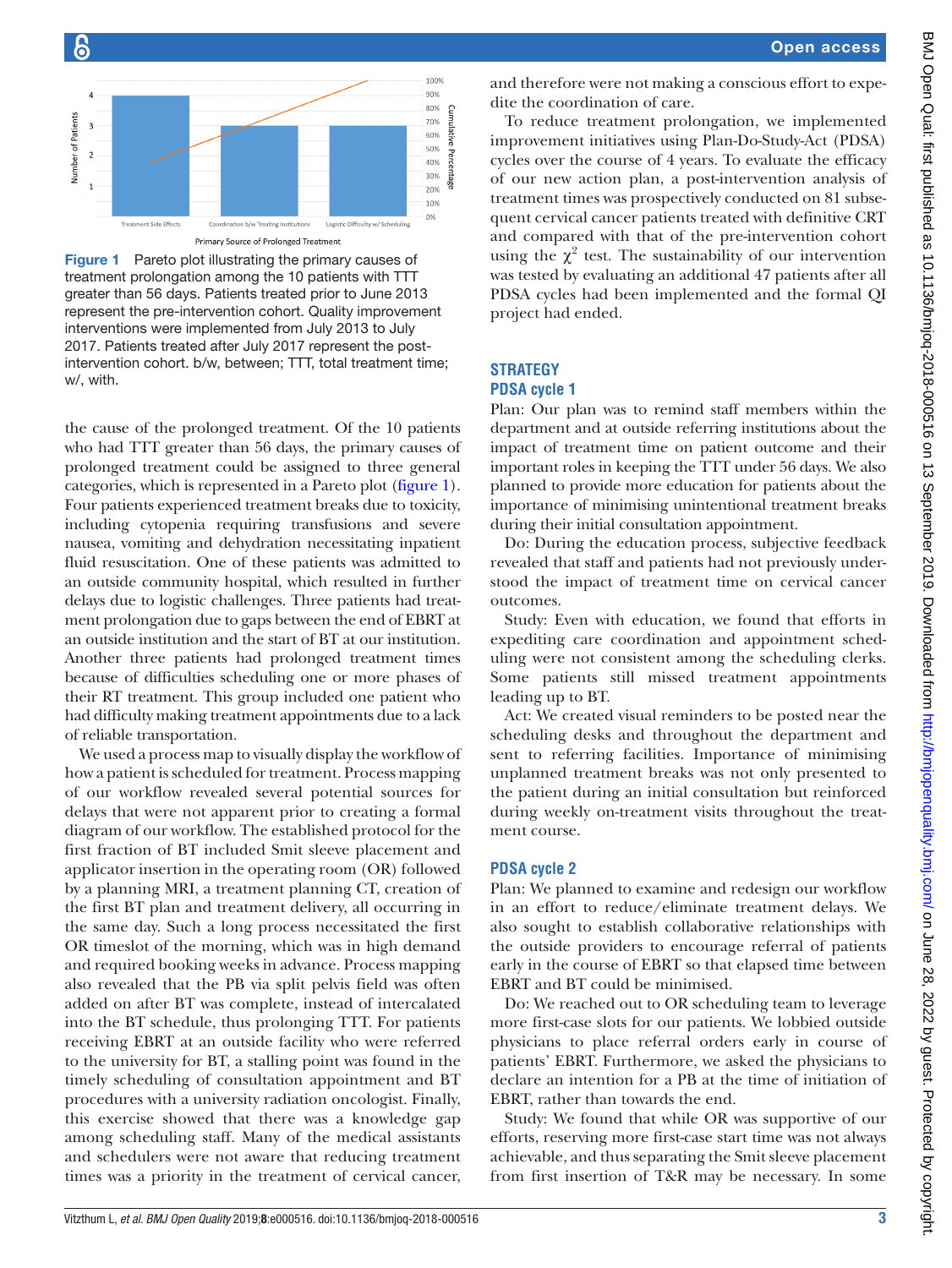

<span id="page-2-0"></span>Figure 1 Pareto plot illustrating the primary causes of treatment prolongation among the 10 patients with TTT greater than 56 days. Patients treated prior to June 2013 represent the pre-intervention cohort. Quality improvement interventions were implemented from July 2013 to July 2017. Patients treated after July 2017 represent the postintervention cohort. b/w, between; TTT, total treatment time; w/, with.

the cause of the prolonged treatment. Of the 10 patients who had TTT greater than 56 days, the primary causes of prolonged treatment could be assigned to three general categories, which is represented in a Pareto plot [\(figure](#page-2-0) 1). Four patients experienced treatment breaks due to toxicity, including cytopenia requiring transfusions and severe nausea, vomiting and dehydration necessitating inpatient fluid resuscitation. One of these patients was admitted to an outside community hospital, which resulted in further delays due to logistic challenges. Three patients had treatment prolongation due to gaps between the end of EBRT at an outside institution and the start of BT at our institution. Another three patients had prolonged treatment times because of difficulties scheduling one or more phases of their RT treatment. This group included one patient who had difficulty making treatment appointments due to a lack of reliable transportation.

We used a process map to visually display the workflow of how a patient is scheduled for treatment. Process mapping of our workflow revealed several potential sources for delays that were not apparent prior to creating a formal diagram of our workflow. The established protocol for the first fraction of BT included Smit sleeve placement and applicator insertion in the operating room (OR) followed by a planning MRI, a treatment planning CT, creation of the first BT plan and treatment delivery, all occurring in the same day. Such a long process necessitated the first OR timeslot of the morning, which was in high demand and required booking weeks in advance. Process mapping also revealed that the PB via split pelvis field was often added on after BT was complete, instead of intercalated into the BT schedule, thus prolonging TTT. For patients receiving EBRT at an outside facility who were referred to the university for BT, a stalling point was found in the timely scheduling of consultation appointment and BT procedures with a university radiation oncologist. Finally, this exercise showed that there was a knowledge gap among scheduling staff. Many of the medical assistants and schedulers were not aware that reducing treatment times was a priority in the treatment of cervical cancer,

and therefore were not making a conscious effort to expedite the coordination of care.

To reduce treatment prolongation, we implemented improvement initiatives using Plan-Do-Study-Act (PDSA) cycles over the course of 4 years. To evaluate the efficacy of our new action plan, a post-intervention analysis of treatment times was prospectively conducted on 81 subsequent cervical cancer patients treated with definitive CRT and compared with that of the pre-intervention cohort using the  $\chi^2$  test. The sustainability of our intervention was tested by evaluating an additional 47 patients after all PDSA cycles had been implemented and the formal QI project had ended.

## **Strategy PDSA cycle 1**

Plan: Our plan was to remind staff members within the department and at outside referring institutions about the impact of treatment time on patient outcome and their important roles in keeping the TTT under 56 days. We also planned to provide more education for patients about the importance of minimising unintentional treatment breaks during their initial consultation appointment.

Do: During the education process, subjective feedback revealed that staff and patients had not previously understood the impact of treatment time on cervical cancer outcomes.

Study: Even with education, we found that efforts in expediting care coordination and appointment scheduling were not consistent among the scheduling clerks. Some patients still missed treatment appointments leading up to BT.

Act: We created visual reminders to be posted near the scheduling desks and throughout the department and sent to referring facilities. Importance of minimising unplanned treatment breaks was not only presented to the patient during an initial consultation but reinforced during weekly on-treatment visits throughout the treatment course.

## **PDSA cycle 2**

Plan: We planned to examine and redesign our workflow in an effort to reduce/eliminate treatment delays. We also sought to establish collaborative relationships with the outside providers to encourage referral of patients early in the course of EBRT so that elapsed time between EBRT and BT could be minimised.

Do: We reached out to OR scheduling team to leverage more first-case slots for our patients. We lobbied outside physicians to place referral orders early in course of patients' EBRT. Furthermore, we asked the physicians to declare an intention for a PB at the time of initiation of EBRT, rather than towards the end.

Study: We found that while OR was supportive of our efforts, reserving more first-case start time was not always achievable, and thus separating the Smit sleeve placement from first insertion of T&R may be necessary. In some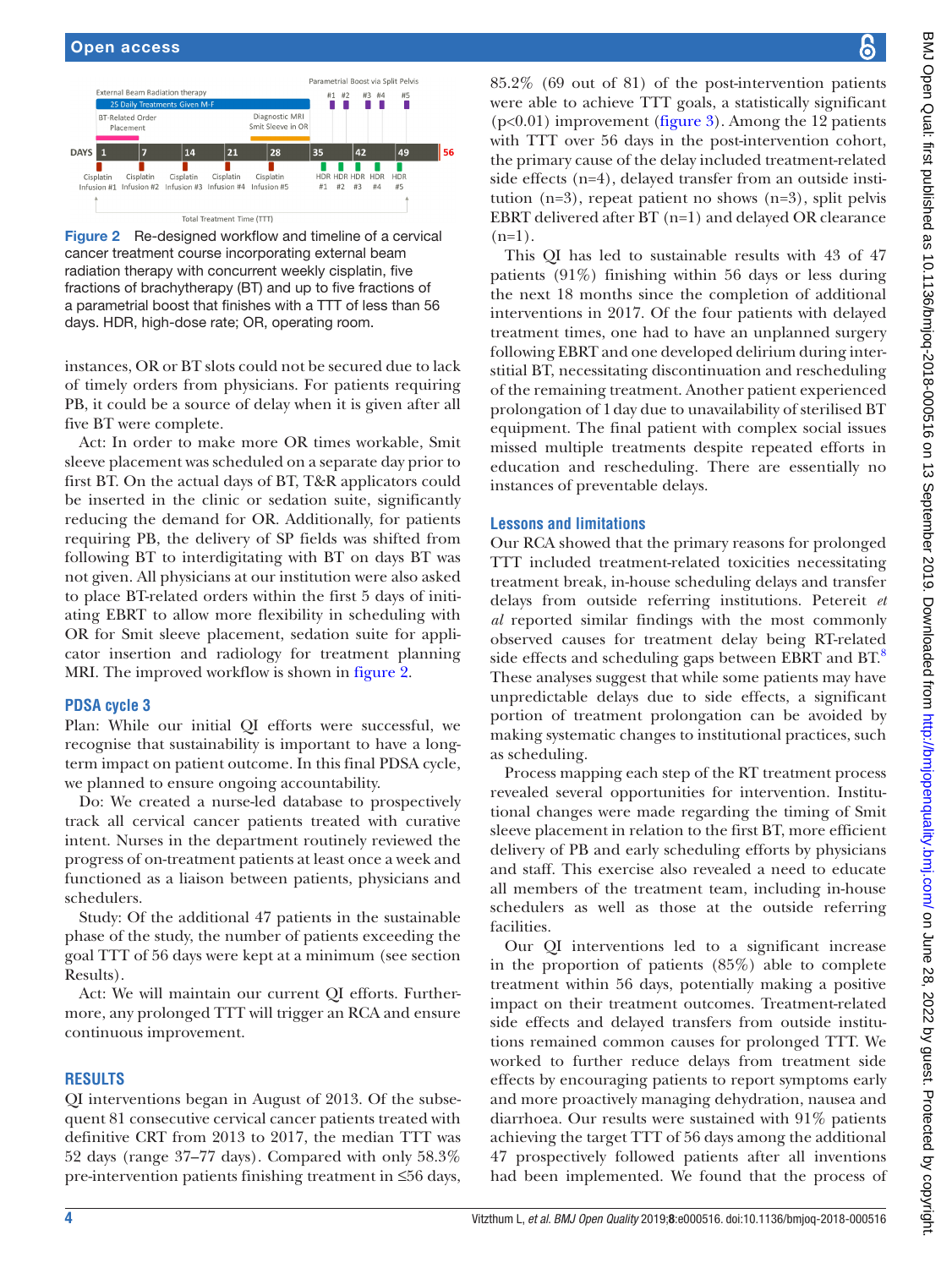

<span id="page-3-0"></span>**Figure 2** Re-designed workflow and timeline of a cervical cancer treatment course incorporating external beam radiation therapy with concurrent weekly cisplatin, five fractions of brachytherapy (BT) and up to five fractions of a parametrial boost that finishes with a TTT of less than 56 days. HDR, high-dose rate; OR, operating room.

instances, OR or BT slots could not be secured due to lack of timely orders from physicians. For patients requiring PB, it could be a source of delay when it is given after all five BT were complete.

Act: In order to make more OR times workable, Smit sleeve placement was scheduled on a separate day prior to first BT. On the actual days of BT, T&R applicators could be inserted in the clinic or sedation suite, significantly reducing the demand for OR. Additionally, for patients requiring PB, the delivery of SP fields was shifted from following BT to interdigitating with BT on days BT was not given. All physicians at our institution were also asked to place BT-related orders within the first 5 days of initiating EBRT to allow more flexibility in scheduling with OR for Smit sleeve placement, sedation suite for applicator insertion and radiology for treatment planning MRI. The improved workflow is shown in [figure](#page-3-0) 2.

#### **PDSA cycle 3**

Plan: While our initial QI efforts were successful, we recognise that sustainability is important to have a longterm impact on patient outcome. In this final PDSA cycle, we planned to ensure ongoing accountability.

Do: We created a nurse-led database to prospectively track all cervical cancer patients treated with curative intent. Nurses in the department routinely reviewed the progress of on-treatment patients at least once a week and functioned as a liaison between patients, physicians and schedulers.

Study: Of the additional 47 patients in the sustainable phase of the study, the number of patients exceeding the goal TTT of 56 days were kept at a minimum (see section Results).

Act: We will maintain our current QI efforts. Furthermore, any prolonged TTT will trigger an RCA and ensure continuous improvement.

## **Results**

QI interventions began in August of 2013. Of the subsequent 81 consecutive cervical cancer patients treated with definitive CRT from 2013 to 2017, the median TTT was 52 days (range 37–77 days). Compared with only 58.3% pre-intervention patients finishing treatment in ≤56 days,

85.2% (69 out of 81) of the post-intervention patients were able to achieve TTT goals, a statistically significant  $(p<0.01)$  improvement [\(figure](#page-4-0) 3). Among the 12 patients with TTT over 56 days in the post-intervention cohort, the primary cause of the delay included treatment-related side effects (n=4), delayed transfer from an outside institution (n=3), repeat patient no shows (n=3), split pelvis EBRT delivered after BT (n=1) and delayed OR clearance  $(n=1)$ .

This QI has led to sustainable results with 43 of 47 patients (91%) finishing within 56 days or less during the next 18 months since the completion of additional interventions in 2017. Of the four patients with delayed treatment times, one had to have an unplanned surgery following EBRT and one developed delirium during interstitial BT, necessitating discontinuation and rescheduling of the remaining treatment. Another patient experienced prolongation of 1day due to unavailability of sterilised BT equipment. The final patient with complex social issues missed multiple treatments despite repeated efforts in education and rescheduling. There are essentially no instances of preventable delays.

## **Lessons and limitations**

Our RCA showed that the primary reasons for prolonged TTT included treatment-related toxicities necessitating treatment break, in-house scheduling delays and transfer delays from outside referring institutions. Petereit *et al* reported similar findings with the most commonly observed causes for treatment delay being RT-related side effects and scheduling gaps between EBRT and BT.<sup>[8](#page-5-10)</sup> These analyses suggest that while some patients may have unpredictable delays due to side effects, a significant portion of treatment prolongation can be avoided by making systematic changes to institutional practices, such as scheduling.

Process mapping each step of the RT treatment process revealed several opportunities for intervention. Institutional changes were made regarding the timing of Smit sleeve placement in relation to the first BT, more efficient delivery of PB and early scheduling efforts by physicians and staff. This exercise also revealed a need to educate all members of the treatment team, including in-house schedulers as well as those at the outside referring facilities.

Our QI interventions led to a significant increase in the proportion of patients (85%) able to complete treatment within 56 days, potentially making a positive impact on their treatment outcomes. Treatment-related side effects and delayed transfers from outside institutions remained common causes for prolonged TTT. We worked to further reduce delays from treatment side effects by encouraging patients to report symptoms early and more proactively managing dehydration, nausea and diarrhoea. Our results were sustained with 91% patients achieving the target TTT of 56 days among the additional 47 prospectively followed patients after all inventions had been implemented. We found that the process of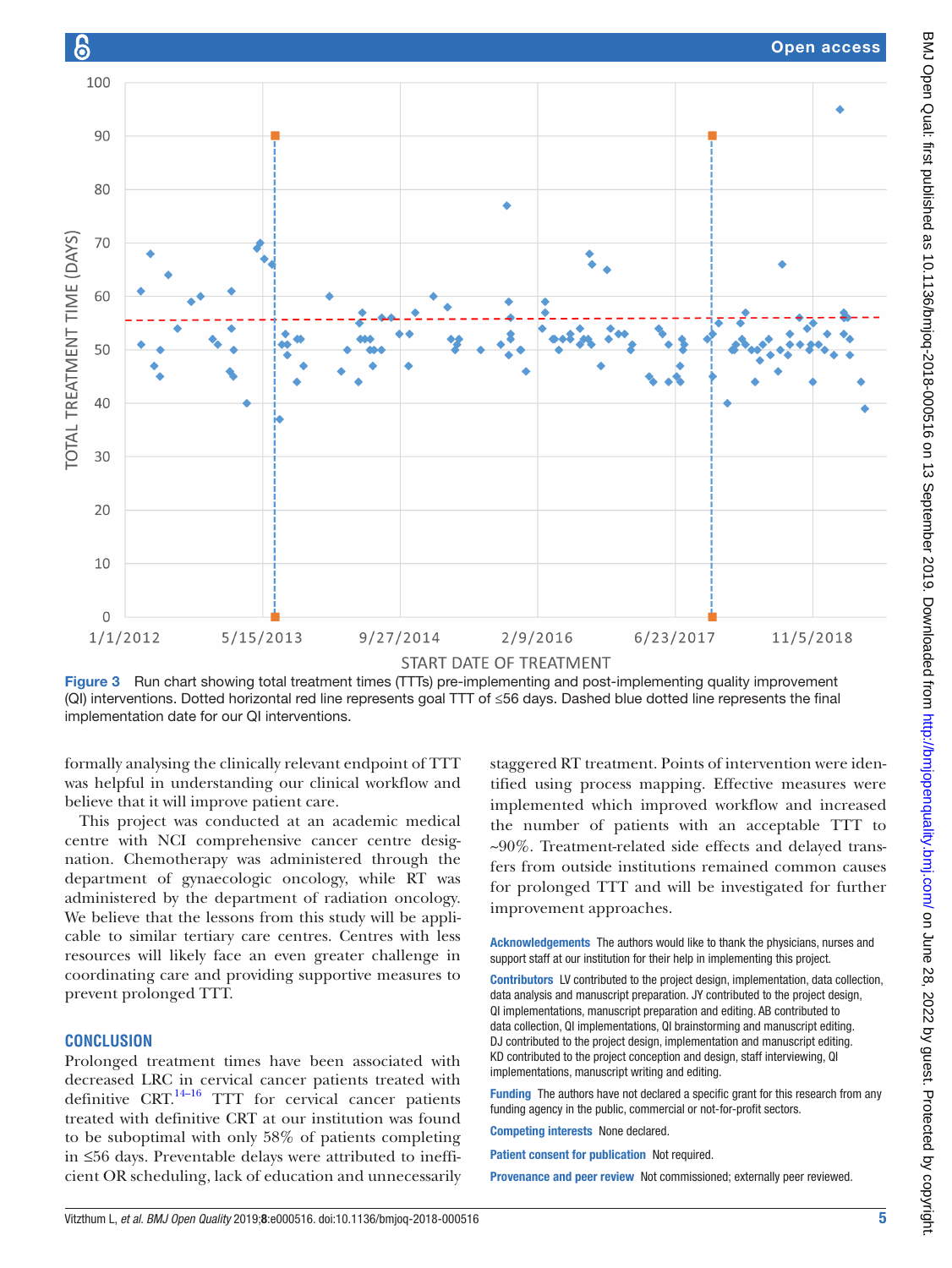

<span id="page-4-0"></span>Figure 3 Run chart showing total treatment times (TTTs) pre-implementing and post-implementing quality improvement (QI) interventions. Dotted horizontal red line represents goal TTT of ≤56 days. Dashed blue dotted line represents the final implementation date for our QI interventions.

formally analysing the clinically relevant endpoint of TTT was helpful in understanding our clinical workflow and believe that it will improve patient care.

This project was conducted at an academic medical centre with NCI comprehensive cancer centre designation. Chemotherapy was administered through the department of gynaecologic oncology, while RT was administered by the department of radiation oncology. We believe that the lessons from this study will be applicable to similar tertiary care centres. Centres with less resources will likely face an even greater challenge in coordinating care and providing supportive measures to prevent prolonged TTT.

## **Conclusion**

Prolonged treatment times have been associated with decreased LRC in cervical cancer patients treated with definitive CRT. $^{14-16}$  TTT for cervical cancer patients treated with definitive CRT at our institution was found to be suboptimal with only 58% of patients completing in ≤56 days. Preventable delays were attributed to inefficient OR scheduling, lack of education and unnecessarily

staggered RT treatment. Points of intervention were identified using process mapping. Effective measures were implemented which improved workflow and increased the number of patients with an acceptable TTT to ~90%. Treatment-related side effects and delayed transfers from outside institutions remained common causes for prolonged TTT and will be investigated for further improvement approaches.

Acknowledgements The authors would like to thank the physicians, nurses and support staff at our institution for their help in implementing this project.

Contributors LV contributed to the project design, implementation, data collection, data analysis and manuscript preparation. JY contributed to the project design, QI implementations, manuscript preparation and editing. AB contributed to data collection, QI implementations, QI brainstorming and manuscript editing. DJ contributed to the project design, implementation and manuscript editing. KD contributed to the project conception and design, staff interviewing, QI implementations, manuscript writing and editing.

Funding The authors have not declared a specific grant for this research from any funding agency in the public, commercial or not-for-profit sectors.

Competing interests None declared.

Patient consent for publication Not required.

Provenance and peer review Not commissioned; externally peer reviewed.